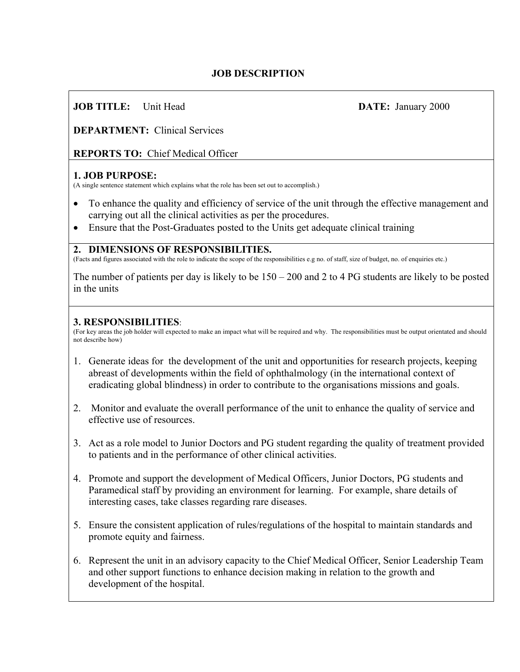## **JOB DESCRIPTION**

# **JOB TITLE:** Unit Head **DATE:** January 2000

**DEPARTMENT:** Clinical Services

**REPORTS TO:** Chief Medical Officer

### **1. JOB PURPOSE:**

(A single sentence statement which explains what the role has been set out to accomplish.)

- To enhance the quality and efficiency of service of the unit through the effective management and carrying out all the clinical activities as per the procedures.
- Ensure that the Post-Graduates posted to the Units get adequate clinical training

#### **2. DIMENSIONS OF RESPONSIBILITIES.**

(Facts and figures associated with the role to indicate the scope of the responsibilities e.g no. of staff, size of budget, no. of enquiries etc.)

The number of patients per day is likely to be 150 – 200 and 2 to 4 PG students are likely to be posted in the units

#### **3. RESPONSIBILITIES**:

(For key areas the job holder will expected to make an impact what will be required and why. The responsibilities must be output orientated and should not describe how)

- 1. Generate ideas for the development of the unit and opportunities for research projects, keeping abreast of developments within the field of ophthalmology (in the international context of eradicating global blindness) in order to contribute to the organisations missions and goals.
- 2. Monitor and evaluate the overall performance of the unit to enhance the quality of service and effective use of resources.
- 3. Act as a role model to Junior Doctors and PG student regarding the quality of treatment provided to patients and in the performance of other clinical activities.
- 4. Promote and support the development of Medical Officers, Junior Doctors, PG students and Paramedical staff by providing an environment for learning. For example, share details of interesting cases, take classes regarding rare diseases.
- 5. Ensure the consistent application of rules/regulations of the hospital to maintain standards and promote equity and fairness.
- 6. Represent the unit in an advisory capacity to the Chief Medical Officer, Senior Leadership Team and other support functions to enhance decision making in relation to the growth and development of the hospital.